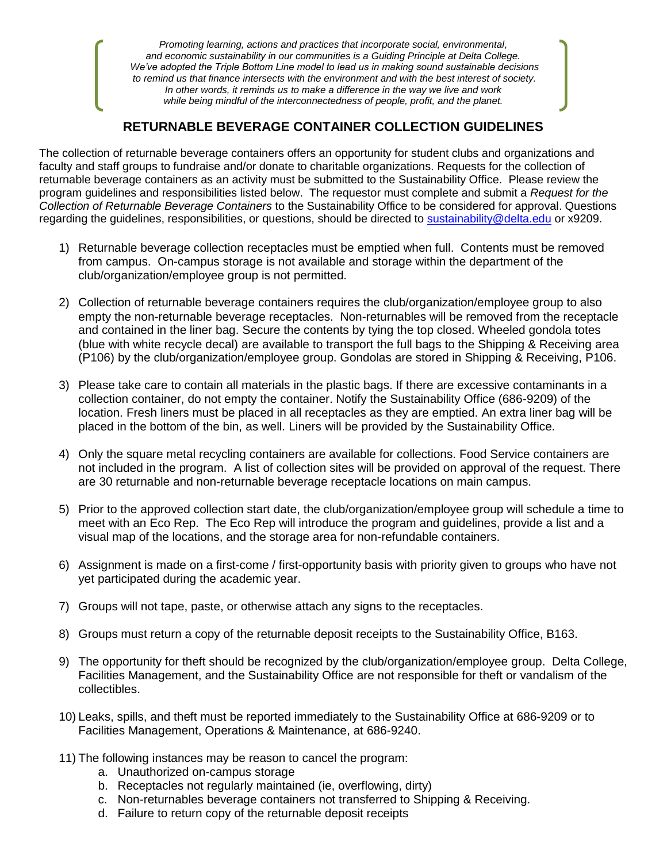*Promoting learning, actions and practices that incorporate social, environmental, and economic sustainability in our communities is a Guiding Principle at Delta College. We've adopted the Triple Bottom Line model to lead us in making sound sustainable decisions to remind us that finance intersects with the environment and with the best interest of society. In other words, it reminds us to make a difference in the way we live and work while being mindful of the interconnectedness of people, profit, and the planet.*

## **RETURNABLE BEVERAGE CONTAINER COLLECTION GUIDELINES**

The collection of returnable beverage containers offers an opportunity for student clubs and organizations and faculty and staff groups to fundraise and/or donate to charitable organizations. Requests for the collection of returnable beverage containers as an activity must be submitted to the Sustainability Office. Please review the program guidelines and responsibilities listed below. The requestor must complete and submit a *Request for the Collection of Returnable Beverage Containers* to the Sustainability Office to be considered for approval. Questions regarding the guidelines, responsibilities, or questions, should be directed to [sustainability@delta.edu](mailto:sustainability@delta.edu) or x9209.

- 1) Returnable beverage collection receptacles must be emptied when full. Contents must be removed from campus. On-campus storage is not available and storage within the department of the club/organization/employee group is not permitted.
- 2) Collection of returnable beverage containers requires the club/organization/employee group to also empty the non-returnable beverage receptacles. Non-returnables will be removed from the receptacle and contained in the liner bag. Secure the contents by tying the top closed. Wheeled gondola totes (blue with white recycle decal) are available to transport the full bags to the Shipping & Receiving area (P106) by the club/organization/employee group. Gondolas are stored in Shipping & Receiving, P106.
- 3) Please take care to contain all materials in the plastic bags. If there are excessive contaminants in a collection container, do not empty the container. Notify the Sustainability Office (686-9209) of the location. Fresh liners must be placed in all receptacles as they are emptied. An extra liner bag will be placed in the bottom of the bin, as well. Liners will be provided by the Sustainability Office.
- 4) Only the square metal recycling containers are available for collections. Food Service containers are not included in the program. A list of collection sites will be provided on approval of the request. There are 30 returnable and non-returnable beverage receptacle locations on main campus.
- 5) Prior to the approved collection start date, the club/organization/employee group will schedule a time to meet with an Eco Rep. The Eco Rep will introduce the program and guidelines, provide a list and a visual map of the locations, and the storage area for non-refundable containers.
- 6) Assignment is made on a first-come / first-opportunity basis with priority given to groups who have not yet participated during the academic year.
- 7) Groups will not tape, paste, or otherwise attach any signs to the receptacles.
- 8) Groups must return a copy of the returnable deposit receipts to the Sustainability Office, B163.
- 9) The opportunity for theft should be recognized by the club/organization/employee group. Delta College, Facilities Management, and the Sustainability Office are not responsible for theft or vandalism of the collectibles.
- 10) Leaks, spills, and theft must be reported immediately to the Sustainability Office at 686-9209 or to Facilities Management, Operations & Maintenance, at 686-9240.
- 11) The following instances may be reason to cancel the program:
	- a. Unauthorized on-campus storage
	- b. Receptacles not regularly maintained (ie, overflowing, dirty)
	- c. Non-returnables beverage containers not transferred to Shipping & Receiving.
	- d. Failure to return copy of the returnable deposit receipts